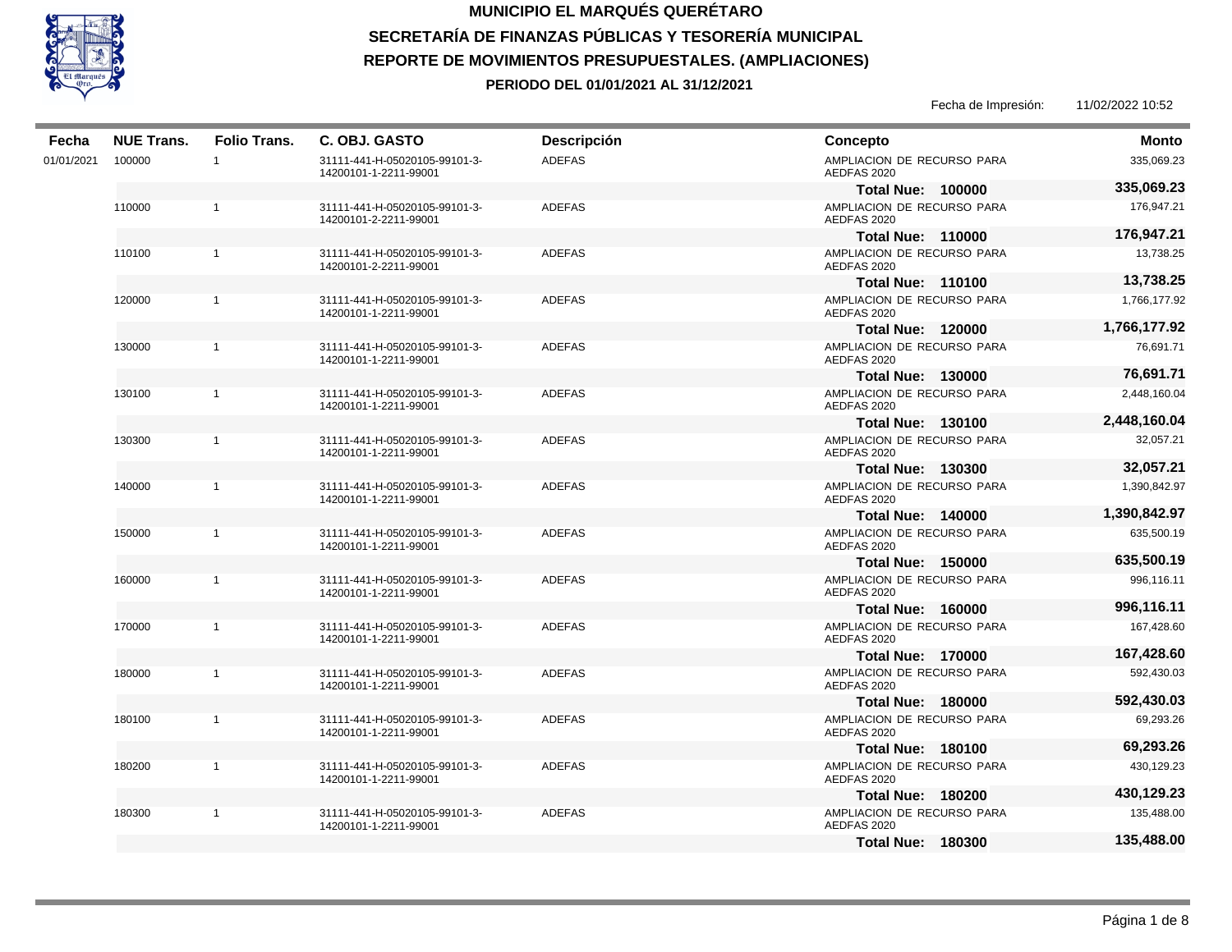

| Fecha      | <b>NUE Trans.</b> | <b>Folio Trans.</b> | C. OBJ. GASTO                                          | <b>Descripción</b> | <b>Concepto</b>                           | Monto        |
|------------|-------------------|---------------------|--------------------------------------------------------|--------------------|-------------------------------------------|--------------|
| 01/01/2021 | 100000            | $\mathbf{1}$        | 31111-441-H-05020105-99101-3-<br>14200101-1-2211-99001 | <b>ADEFAS</b>      | AMPLIACION DE RECURSO PARA<br>AEDFAS 2020 | 335,069.23   |
|            |                   |                     |                                                        |                    | <b>Total Nue: 100000</b>                  | 335,069.23   |
|            | 110000            | $\mathbf{1}$        | 31111-441-H-05020105-99101-3-<br>14200101-2-2211-99001 | <b>ADEFAS</b>      | AMPLIACION DE RECURSO PARA<br>AEDFAS 2020 | 176,947.21   |
|            |                   |                     |                                                        |                    | <b>Total Nue: 110000</b>                  | 176,947.21   |
|            | 110100            | $\mathbf{1}$        | 31111-441-H-05020105-99101-3-<br>14200101-2-2211-99001 | <b>ADEFAS</b>      | AMPLIACION DE RECURSO PARA<br>AEDFAS 2020 | 13,738.25    |
|            |                   |                     |                                                        |                    | <b>Total Nue: 110100</b>                  | 13,738.25    |
|            | 120000            | $\mathbf{1}$        | 31111-441-H-05020105-99101-3-<br>14200101-1-2211-99001 | <b>ADEFAS</b>      | AMPLIACION DE RECURSO PARA<br>AEDFAS 2020 | 1,766,177.92 |
|            |                   |                     |                                                        |                    | <b>Total Nue: 120000</b>                  | 1,766,177.92 |
|            | 130000            | $\mathbf{1}$        | 31111-441-H-05020105-99101-3-<br>14200101-1-2211-99001 | <b>ADEFAS</b>      | AMPLIACION DE RECURSO PARA<br>AEDFAS 2020 | 76,691.71    |
|            |                   |                     |                                                        |                    | <b>Total Nue: 130000</b>                  | 76,691.71    |
|            | 130100            | $\mathbf{1}$        | 31111-441-H-05020105-99101-3-<br>14200101-1-2211-99001 | <b>ADEFAS</b>      | AMPLIACION DE RECURSO PARA<br>AEDFAS 2020 | 2,448,160.04 |
|            |                   |                     |                                                        |                    | <b>Total Nue: 130100</b>                  | 2,448,160.04 |
|            | 130300            | $\mathbf{1}$        | 31111-441-H-05020105-99101-3-<br>14200101-1-2211-99001 | <b>ADEFAS</b>      | AMPLIACION DE RECURSO PARA<br>AEDFAS 2020 | 32,057.21    |
|            |                   |                     |                                                        |                    | <b>Total Nue: 130300</b>                  | 32,057.21    |
|            | 140000            | $\mathbf{1}$        | 31111-441-H-05020105-99101-3-<br>14200101-1-2211-99001 | <b>ADEFAS</b>      | AMPLIACION DE RECURSO PARA<br>AEDFAS 2020 | 1,390,842.97 |
|            |                   |                     |                                                        |                    | <b>Total Nue: 140000</b>                  | 1,390,842.97 |
|            | 150000            | $\mathbf{1}$        | 31111-441-H-05020105-99101-3-<br>14200101-1-2211-99001 | <b>ADEFAS</b>      | AMPLIACION DE RECURSO PARA<br>AEDFAS 2020 | 635,500.19   |
|            |                   |                     |                                                        |                    | <b>Total Nue: 150000</b>                  | 635,500.19   |
|            | 160000            | $\mathbf{1}$        | 31111-441-H-05020105-99101-3-<br>14200101-1-2211-99001 | <b>ADEFAS</b>      | AMPLIACION DE RECURSO PARA<br>AEDFAS 2020 | 996,116.11   |
|            |                   |                     |                                                        |                    | <b>Total Nue: 160000</b>                  | 996,116.11   |
|            | 170000            | $\mathbf{1}$        | 31111-441-H-05020105-99101-3-<br>14200101-1-2211-99001 | <b>ADEFAS</b>      | AMPLIACION DE RECURSO PARA<br>AEDFAS 2020 | 167,428.60   |
|            |                   |                     |                                                        |                    | <b>Total Nue: 170000</b>                  | 167,428.60   |
|            | 180000            | $\mathbf{1}$        | 31111-441-H-05020105-99101-3-<br>14200101-1-2211-99001 | <b>ADEFAS</b>      | AMPLIACION DE RECURSO PARA<br>AEDFAS 2020 | 592,430.03   |
|            |                   |                     |                                                        |                    | <b>Total Nue: 180000</b>                  | 592,430.03   |
|            | 180100            | $\mathbf{1}$        | 31111-441-H-05020105-99101-3-<br>14200101-1-2211-99001 | <b>ADEFAS</b>      | AMPLIACION DE RECURSO PARA<br>AEDFAS 2020 | 69,293.26    |
|            |                   |                     |                                                        |                    | <b>Total Nue: 180100</b>                  | 69,293.26    |
|            | 180200            | $\mathbf{1}$        | 31111-441-H-05020105-99101-3-<br>14200101-1-2211-99001 | <b>ADEFAS</b>      | AMPLIACION DE RECURSO PARA<br>AEDFAS 2020 | 430,129.23   |
|            |                   |                     |                                                        |                    | <b>Total Nue: 180200</b>                  | 430,129.23   |
|            | 180300            | 1                   | 31111-441-H-05020105-99101-3-<br>14200101-1-2211-99001 | <b>ADEFAS</b>      | AMPLIACION DE RECURSO PARA<br>AEDFAS 2020 | 135,488.00   |
|            |                   |                     |                                                        |                    | <b>Total Nue: 180300</b>                  | 135,488.00   |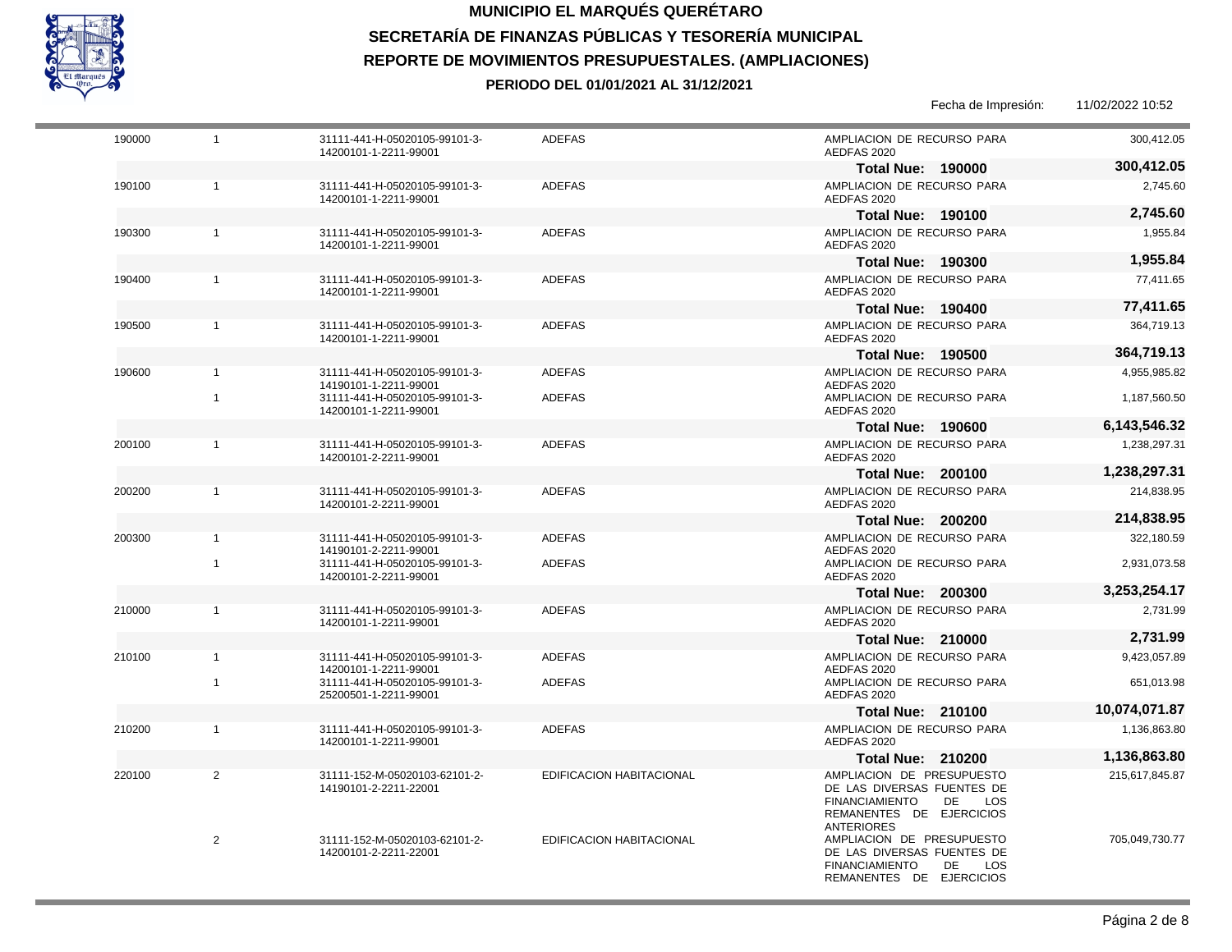

|        |                |                                                        |                                 | Fecha de Impresión:                                                                                                                            | 11/02/2022 10:52 |
|--------|----------------|--------------------------------------------------------|---------------------------------|------------------------------------------------------------------------------------------------------------------------------------------------|------------------|
| 190000 | $\overline{1}$ | 31111-441-H-05020105-99101-3-<br>14200101-1-2211-99001 | <b>ADEFAS</b>                   | AMPLIACION DE RECURSO PARA<br>AEDFAS 2020                                                                                                      | 300,412.05       |
|        |                |                                                        |                                 | <b>Total Nue: 190000</b>                                                                                                                       | 300,412.05       |
| 190100 | $\mathbf{1}$   | 31111-441-H-05020105-99101-3-<br>14200101-1-2211-99001 | <b>ADEFAS</b>                   | AMPLIACION DE RECURSO PARA<br>AEDFAS 2020                                                                                                      | 2.745.60         |
|        |                |                                                        |                                 | <b>Total Nue: 190100</b>                                                                                                                       | 2,745.60         |
| 190300 | $\mathbf{1}$   | 31111-441-H-05020105-99101-3-<br>14200101-1-2211-99001 | <b>ADEFAS</b>                   | AMPLIACION DE RECURSO PARA<br>AEDFAS 2020                                                                                                      | 1,955.84         |
|        |                |                                                        |                                 | <b>Total Nue: 190300</b>                                                                                                                       | 1,955.84         |
| 190400 | $\mathbf{1}$   | 31111-441-H-05020105-99101-3-<br>14200101-1-2211-99001 | <b>ADEFAS</b>                   | AMPLIACION DE RECURSO PARA<br>AEDFAS 2020                                                                                                      | 77,411.65        |
|        |                |                                                        |                                 | <b>Total Nue: 190400</b>                                                                                                                       | 77,411.65        |
| 190500 | $\mathbf{1}$   | 31111-441-H-05020105-99101-3-<br>14200101-1-2211-99001 | <b>ADEFAS</b>                   | AMPLIACION DE RECURSO PARA<br>AEDFAS 2020                                                                                                      | 364,719.13       |
|        |                |                                                        |                                 | <b>Total Nue: 190500</b>                                                                                                                       | 364,719.13       |
| 190600 | $\mathbf{1}$   | 31111-441-H-05020105-99101-3-<br>14190101-1-2211-99001 | <b>ADEFAS</b>                   | AMPLIACION DE RECURSO PARA<br>AEDFAS 2020                                                                                                      | 4,955,985.82     |
|        | $\overline{1}$ | 31111-441-H-05020105-99101-3-<br>14200101-1-2211-99001 | <b>ADEFAS</b>                   | AMPLIACION DE RECURSO PARA<br>AEDFAS 2020                                                                                                      | 1,187,560.50     |
|        |                |                                                        |                                 | <b>Total Nue: 190600</b>                                                                                                                       | 6,143,546.32     |
| 200100 | $\mathbf{1}$   | 31111-441-H-05020105-99101-3-<br>14200101-2-2211-99001 | <b>ADEFAS</b>                   | AMPLIACION DE RECURSO PARA<br>AEDFAS 2020                                                                                                      | 1,238,297.31     |
|        |                |                                                        |                                 | <b>Total Nue: 200100</b>                                                                                                                       | 1,238,297.31     |
| 200200 | $\mathbf{1}$   | 31111-441-H-05020105-99101-3-<br>14200101-2-2211-99001 | <b>ADEFAS</b>                   | AMPLIACION DE RECURSO PARA<br>AEDFAS 2020                                                                                                      | 214,838.95       |
|        |                |                                                        |                                 | <b>Total Nue: 200200</b>                                                                                                                       | 214,838.95       |
| 200300 | $\mathbf{1}$   | 31111-441-H-05020105-99101-3-<br>14190101-2-2211-99001 | <b>ADEFAS</b>                   | AMPLIACION DE RECURSO PARA<br>AEDFAS 2020                                                                                                      | 322,180.59       |
|        | $\overline{1}$ | 31111-441-H-05020105-99101-3-<br>14200101-2-2211-99001 | <b>ADEFAS</b>                   | AMPLIACION DE RECURSO PARA<br>AEDFAS 2020                                                                                                      | 2,931,073.58     |
|        |                |                                                        |                                 | <b>Total Nue: 200300</b>                                                                                                                       | 3,253,254.17     |
| 210000 | $\mathbf{1}$   | 31111-441-H-05020105-99101-3-<br>14200101-1-2211-99001 | <b>ADEFAS</b>                   | AMPLIACION DE RECURSO PARA<br>AEDFAS 2020                                                                                                      | 2,731.99         |
|        |                |                                                        |                                 | <b>Total Nue: 210000</b>                                                                                                                       | 2,731.99         |
| 210100 | $\mathbf{1}$   | 31111-441-H-05020105-99101-3-<br>14200101-1-2211-99001 | <b>ADEFAS</b>                   | AMPLIACION DE RECURSO PARA<br>AEDFAS 2020                                                                                                      | 9,423,057.89     |
|        | $\mathbf{1}$   | 31111-441-H-05020105-99101-3-<br>25200501-1-2211-99001 | <b>ADEFAS</b>                   | AMPLIACION DE RECURSO PARA<br>AEDFAS 2020                                                                                                      | 651,013.98       |
|        |                |                                                        |                                 | <b>Total Nue: 210100</b>                                                                                                                       | 10,074,071.87    |
| 210200 | $\mathbf{1}$   | 31111-441-H-05020105-99101-3-<br>14200101-1-2211-99001 | <b>ADEFAS</b>                   | AMPLIACION DE RECURSO PARA<br>AEDFAS 2020                                                                                                      | 1,136,863.80     |
|        |                |                                                        |                                 | <b>Total Nue: 210200</b>                                                                                                                       | 1,136,863.80     |
| 220100 | $\overline{2}$ | 31111-152-M-05020103-62101-2-<br>14190101-2-2211-22001 | EDIFICACION HABITACIONAL        | AMPLIACION DE PRESUPUESTO<br>DE LAS DIVERSAS FUENTES DE<br><b>FINANCIAMIENTO</b><br>DE<br>LOS<br>REMANENTES DE EJERCICIOS<br><b>ANTERIORES</b> | 215,617,845.87   |
|        | 2              | 31111-152-M-05020103-62101-2-<br>14200101-2-2211-22001 | <b>EDIFICACION HABITACIONAL</b> | AMPLIACION DE PRESUPUESTO<br>DE LAS DIVERSAS FUENTES DE<br><b>FINANCIAMIENTO</b><br>DE<br>LOS<br>REMANENTES DE EJERCICIOS                      | 705,049,730.77   |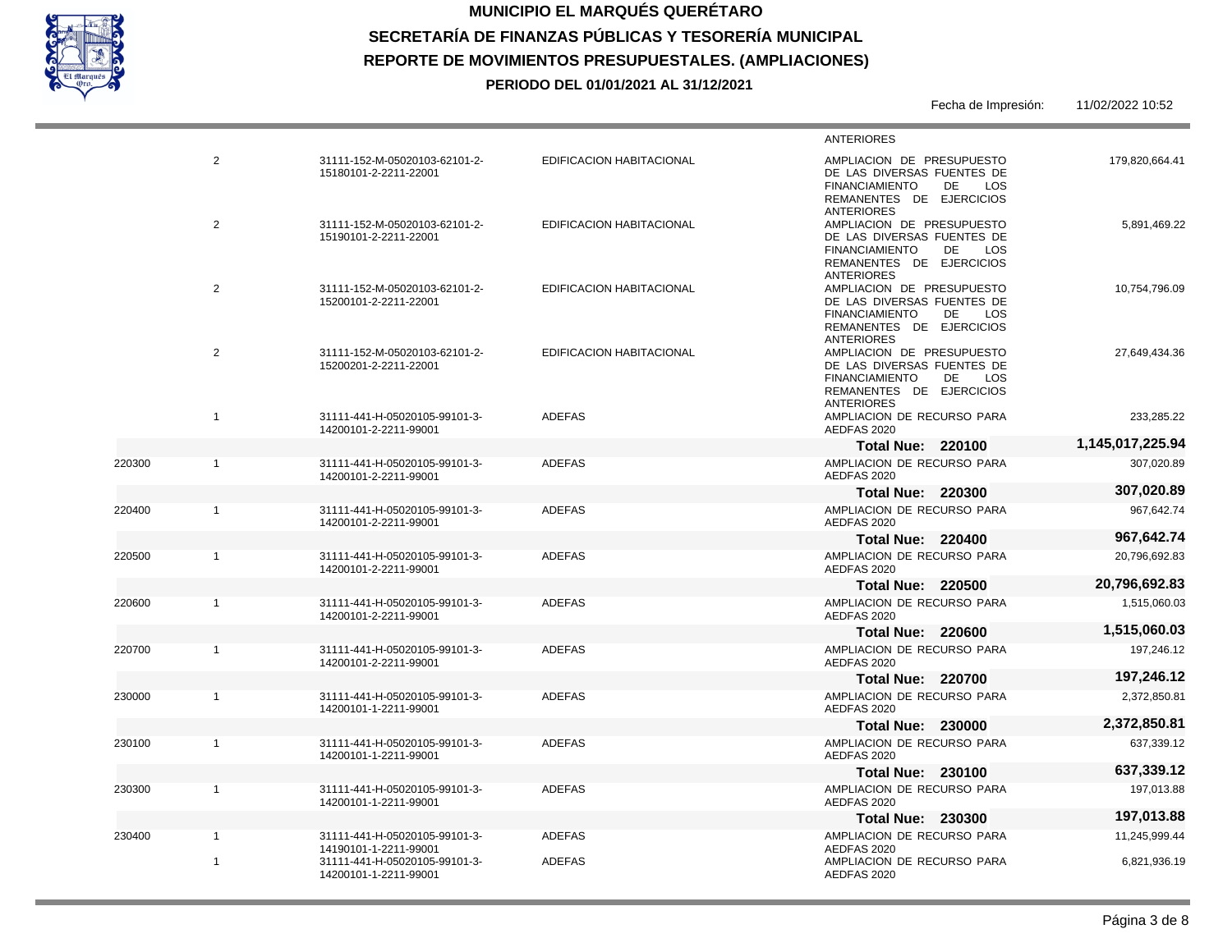

220300

220400

220500

220600

220700

230000

230100

230300

230400

# **MUNICIPIO EL MARQUÉS QUERÉTARO SECRETARÍA DE FINANZAS PÚBLICAS Y TESORERÍA MUNICIPAL REPORTE DE MOVIMIENTOS PRESUPUESTALES. (AMPLIACIONES) PERIODO DEL 01/01/2021 AL 31/12/2021**

|              |                                                        |                                 | Fecha de Impresión:                                                                                                                                                 | 11/02/2022 10:52 |
|--------------|--------------------------------------------------------|---------------------------------|---------------------------------------------------------------------------------------------------------------------------------------------------------------------|------------------|
|              |                                                        |                                 | <b>ANTERIORES</b>                                                                                                                                                   |                  |
| 2            | 31111-152-M-05020103-62101-2-<br>15180101-2-2211-22001 | <b>EDIFICACION HABITACIONAL</b> | AMPLIACION DE PRESUPUESTO<br>DE LAS DIVERSAS FUENTES DE<br><b>FINANCIAMIENTO</b><br><b>DE</b><br>LOS<br>REMANENTES DE EJERCICIOS                                    | 179.820.664.41   |
| 2            | 31111-152-M-05020103-62101-2-<br>15190101-2-2211-22001 | <b>EDIFICACION HABITACIONAL</b> | <b>ANTERIORES</b><br>AMPLIACION DE PRESUPUESTO<br>DE LAS DIVERSAS FUENTES DE<br><b>FINANCIAMIENTO</b><br><b>DE</b><br><b>LOS</b><br>REMANENTES DE EJERCICIOS        | 5,891,469.22     |
| 2            | 31111-152-M-05020103-62101-2-<br>15200101-2-2211-22001 | <b>EDIFICACION HABITACIONAL</b> | <b>ANTERIORES</b><br>AMPLIACION DE PRESUPUESTO<br>DE LAS DIVERSAS FUENTES DE<br><b>FINANCIAMIENTO</b><br>DE<br>LOS<br>REMANENTES DE EJERCICIOS<br><b>ANTERIORES</b> | 10,754,796.09    |
| 2            | 31111-152-M-05020103-62101-2-<br>15200201-2-2211-22001 | <b>EDIFICACION HABITACIONAL</b> | AMPLIACION DE PRESUPUESTO<br>DE LAS DIVERSAS FUENTES DE<br><b>FINANCIAMIENTO</b><br>DE<br><b>LOS</b><br>REMANENTES DE EJERCICIOS<br><b>ANTERIORES</b>               | 27,649,434.36    |
| $\mathbf{1}$ | 31111-441-H-05020105-99101-3-<br>14200101-2-2211-99001 | <b>ADEFAS</b>                   | AMPLIACION DE RECURSO PARA<br>AEDFAS 2020                                                                                                                           | 233.285.22       |
|              |                                                        |                                 | <b>Total Nue: 220100</b>                                                                                                                                            | 1,145,017,225.94 |
| $\mathbf{1}$ | 31111-441-H-05020105-99101-3-<br>14200101-2-2211-99001 | <b>ADEFAS</b>                   | AMPLIACION DE RECURSO PARA<br>AEDFAS 2020                                                                                                                           | 307,020.89       |
|              |                                                        |                                 | <b>Total Nue: 220300</b>                                                                                                                                            | 307,020.89       |
| $\mathbf{1}$ | 31111-441-H-05020105-99101-3-<br>14200101-2-2211-99001 | <b>ADEFAS</b>                   | AMPLIACION DE RECURSO PARA<br>AEDFAS 2020                                                                                                                           | 967,642.74       |
|              |                                                        |                                 | <b>Total Nue: 220400</b>                                                                                                                                            | 967,642.74       |
| $\mathbf{1}$ | 31111-441-H-05020105-99101-3-<br>14200101-2-2211-99001 | <b>ADEFAS</b>                   | AMPLIACION DE RECURSO PARA<br>AEDFAS 2020                                                                                                                           | 20,796,692.83    |
|              |                                                        |                                 | <b>Total Nue: 220500</b>                                                                                                                                            | 20,796,692.83    |
| $\mathbf{1}$ | 31111-441-H-05020105-99101-3-<br>14200101-2-2211-99001 | <b>ADEFAS</b>                   | AMPLIACION DE RECURSO PARA<br>AEDFAS 2020                                                                                                                           | 1,515,060.03     |
|              |                                                        |                                 | <b>Total Nue: 220600</b>                                                                                                                                            | 1,515,060.03     |
| 1            | 31111-441-H-05020105-99101-3-<br>14200101-2-2211-99001 | <b>ADEFAS</b>                   | AMPLIACION DE RECURSO PARA<br>AEDFAS 2020                                                                                                                           | 197,246.12       |
|              |                                                        |                                 | <b>Total Nue: 220700</b>                                                                                                                                            | 197,246.12       |
| $\mathbf{1}$ | 31111-441-H-05020105-99101-3-<br>14200101-1-2211-99001 | <b>ADEFAS</b>                   | AMPLIACION DE RECURSO PARA<br>AEDFAS 2020                                                                                                                           | 2,372,850.81     |
|              |                                                        |                                 | <b>Total Nue: 230000</b>                                                                                                                                            | 2,372,850.81     |
| 1            | 31111-441-H-05020105-99101-3-<br>14200101-1-2211-99001 | <b>ADEFAS</b>                   | AMPLIACION DE RECURSO PARA<br>AEDFAS 2020                                                                                                                           | 637,339.12       |
|              |                                                        |                                 | <b>Total Nue: 230100</b>                                                                                                                                            | 637,339.12       |
| $\mathbf{1}$ | 31111-441-H-05020105-99101-3-<br>14200101-1-2211-99001 | <b>ADEFAS</b>                   | AMPLIACION DE RECURSO PARA<br>AEDFAS 2020                                                                                                                           | 197,013.88       |
|              |                                                        |                                 | <b>Total Nue: 230300</b>                                                                                                                                            | 197,013.88       |
| $\mathbf{1}$ | 31111-441-H-05020105-99101-3-<br>14190101-1-2211-99001 | <b>ADEFAS</b>                   | AMPLIACION DE RECURSO PARA<br>AEDFAS 2020                                                                                                                           | 11,245,999.44    |
| $\mathbf{1}$ | 31111-441-H-05020105-99101-3-<br>14200101-1-2211-99001 | <b>ADEFAS</b>                   | AMPLIACION DE RECURSO PARA<br>AEDFAS 2020                                                                                                                           | 6,821,936.19     |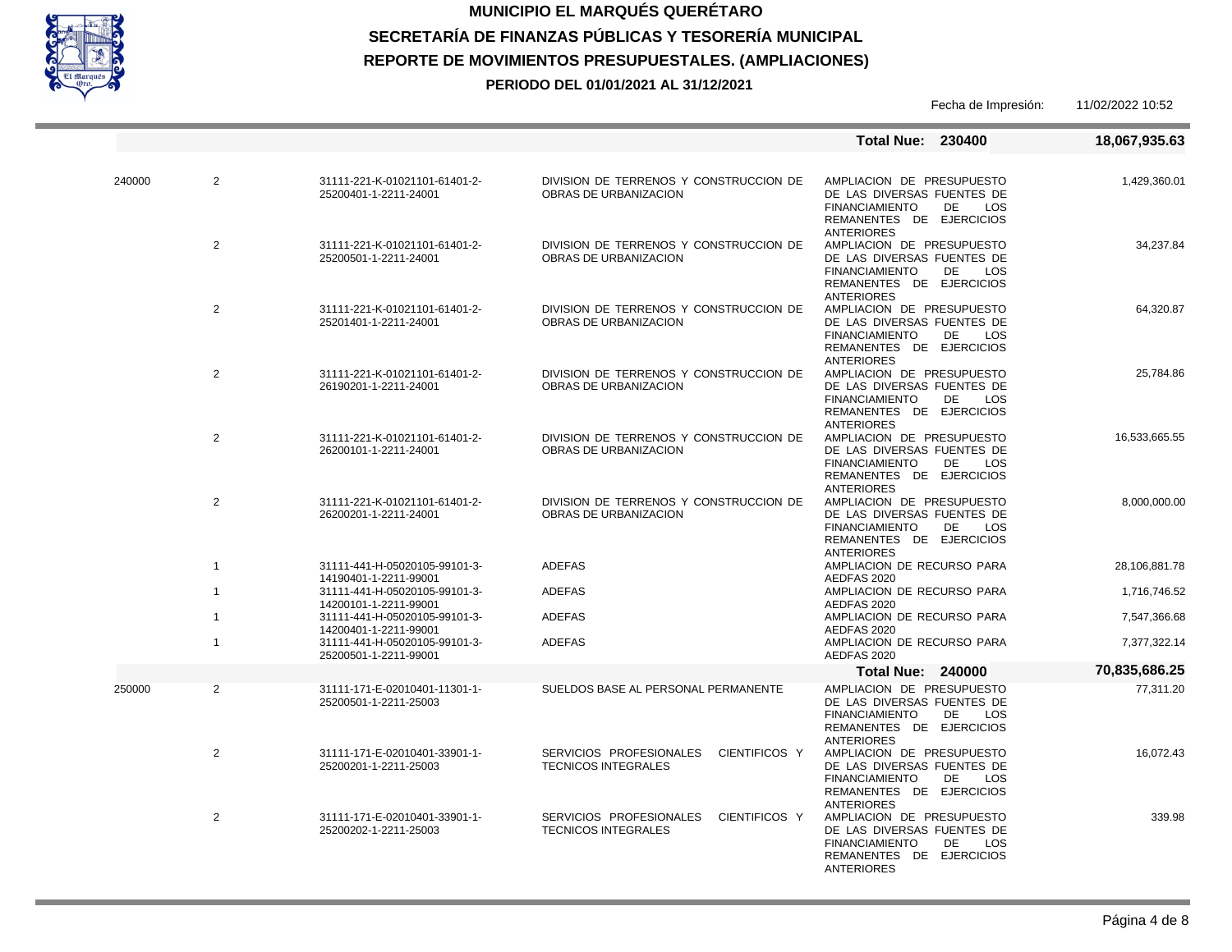

|        |                                                                          |                                                        |                                                                        | <b>Total Nue: 230400</b>                                                                                                                                            | 18,067,935.63 |
|--------|--------------------------------------------------------------------------|--------------------------------------------------------|------------------------------------------------------------------------|---------------------------------------------------------------------------------------------------------------------------------------------------------------------|---------------|
| 240000 | $\overline{2}$                                                           | 31111-221-K-01021101-61401-2-<br>25200401-1-2211-24001 | DIVISION DE TERRENOS Y CONSTRUCCION DE<br>OBRAS DE URBANIZACION        | AMPLIACION DE PRESUPUESTO<br>DE LAS DIVERSAS FUENTES DE<br><b>FINANCIAMIENTO</b><br>DE.<br>LOS<br>REMANENTES DE EJERCICIOS                                          | 1,429,360.01  |
|        | $\overline{2}$                                                           | 31111-221-K-01021101-61401-2-<br>25200501-1-2211-24001 | DIVISION DE TERRENOS Y CONSTRUCCION DE<br>OBRAS DE URBANIZACION        | <b>ANTERIORES</b><br>AMPLIACION DE PRESUPUESTO<br>DE LAS DIVERSAS FUENTES DE<br><b>FINANCIAMIENTO</b><br>DE<br>LOS<br>REMANENTES DE EJERCICIOS<br><b>ANTERIORES</b> | 34,237.84     |
|        | $\overline{2}$                                                           | 31111-221-K-01021101-61401-2-<br>25201401-1-2211-24001 | DIVISION DE TERRENOS Y CONSTRUCCION DE<br>OBRAS DE URBANIZACION        | AMPLIACION DE PRESUPUESTO<br>DE LAS DIVERSAS FUENTES DE<br><b>FINANCIAMIENTO</b><br>DE<br>LOS<br>REMANENTES DE EJERCICIOS                                           | 64,320.87     |
|        | $\overline{2}$                                                           | 31111-221-K-01021101-61401-2-<br>26190201-1-2211-24001 | DIVISION DE TERRENOS Y CONSTRUCCION DE<br>OBRAS DE URBANIZACION        | <b>ANTERIORES</b><br>AMPLIACION DE PRESUPUESTO<br>DE LAS DIVERSAS FUENTES DE<br><b>FINANCIAMIENTO</b><br>DE<br>LOS<br>REMANENTES DE EJERCICIOS<br><b>ANTERIORES</b> | 25,784.86     |
|        | 2                                                                        | 31111-221-K-01021101-61401-2-<br>26200101-1-2211-24001 | DIVISION DE TERRENOS Y CONSTRUCCION DE<br>OBRAS DE URBANIZACION        | AMPLIACION DE PRESUPUESTO<br>DE LAS DIVERSAS FUENTES DE<br><b>FINANCIAMIENTO</b><br>DE.<br>LOS<br>REMANENTES DE EJERCICIOS<br><b>ANTERIORES</b>                     | 16,533,665.55 |
|        | 2                                                                        | 31111-221-K-01021101-61401-2-<br>26200201-1-2211-24001 | DIVISION DE TERRENOS Y CONSTRUCCION DE<br>OBRAS DE URBANIZACION        | AMPLIACION DE PRESUPUESTO<br>DE LAS DIVERSAS FUENTES DE<br><b>FINANCIAMIENTO</b><br>DE.<br>LOS<br>REMANENTES DE EJERCICIOS<br><b>ANTERIORES</b>                     | 8,000,000.00  |
|        | $\overline{1}$                                                           | 31111-441-H-05020105-99101-3-<br>14190401-1-2211-99001 | <b>ADEFAS</b>                                                          | AMPLIACION DE RECURSO PARA<br>AEDFAS 2020                                                                                                                           | 28,106,881.78 |
|        | $\overline{1}$                                                           | 31111-441-H-05020105-99101-3-<br>14200101-1-2211-99001 | <b>ADEFAS</b>                                                          | AMPLIACION DE RECURSO PARA<br>AEDFAS 2020                                                                                                                           | 1,716,746.52  |
|        | $\overline{1}$<br>31111-441-H-05020105-99101-3-<br>14200401-1-2211-99001 | <b>ADEFAS</b>                                          | AMPLIACION DE RECURSO PARA<br>AEDFAS 2020                              | 7,547,366.68                                                                                                                                                        |               |
|        | $\overline{1}$                                                           | 31111-441-H-05020105-99101-3-<br>25200501-1-2211-99001 | <b>ADEFAS</b>                                                          | AMPLIACION DE RECURSO PARA<br>AEDFAS 2020                                                                                                                           | 7,377,322.14  |
|        |                                                                          |                                                        |                                                                        | <b>Total Nue: 240000</b>                                                                                                                                            | 70,835,686.25 |
| 250000 | $\overline{2}$                                                           | 31111-171-E-02010401-11301-1-<br>25200501-1-2211-25003 | SUELDOS BASE AL PERSONAL PERMANENTE                                    | AMPLIACION DE PRESUPUESTO<br>DE LAS DIVERSAS FUENTES DE<br><b>FINANCIAMIENTO</b><br>DE<br>LOS<br>REMANENTES DE EJERCICIOS<br><b>ANTERIORES</b>                      | 77,311.20     |
|        | $\overline{2}$                                                           | 31111-171-E-02010401-33901-1-<br>25200201-1-2211-25003 | SERVICIOS PROFESIONALES<br>CIENTIFICOS Y<br><b>TECNICOS INTEGRALES</b> | AMPLIACION DE PRESUPUESTO<br>DE LAS DIVERSAS FUENTES DE<br><b>FINANCIAMIENTO</b><br>DE<br>LOS<br>REMANENTES DE EJERCICIOS<br><b>ANTERIORES</b>                      | 16,072.43     |
|        | $\overline{2}$                                                           | 31111-171-E-02010401-33901-1-<br>25200202-1-2211-25003 | SERVICIOS PROFESIONALES<br>CIENTIFICOS Y<br><b>TECNICOS INTEGRALES</b> | AMPLIACION DE PRESUPUESTO<br>DE LAS DIVERSAS FUENTES DE<br><b>FINANCIAMIENTO</b><br>DE<br>LOS<br>REMANENTES DE EJERCICIOS<br><b>ANTERIORES</b>                      | 339.98        |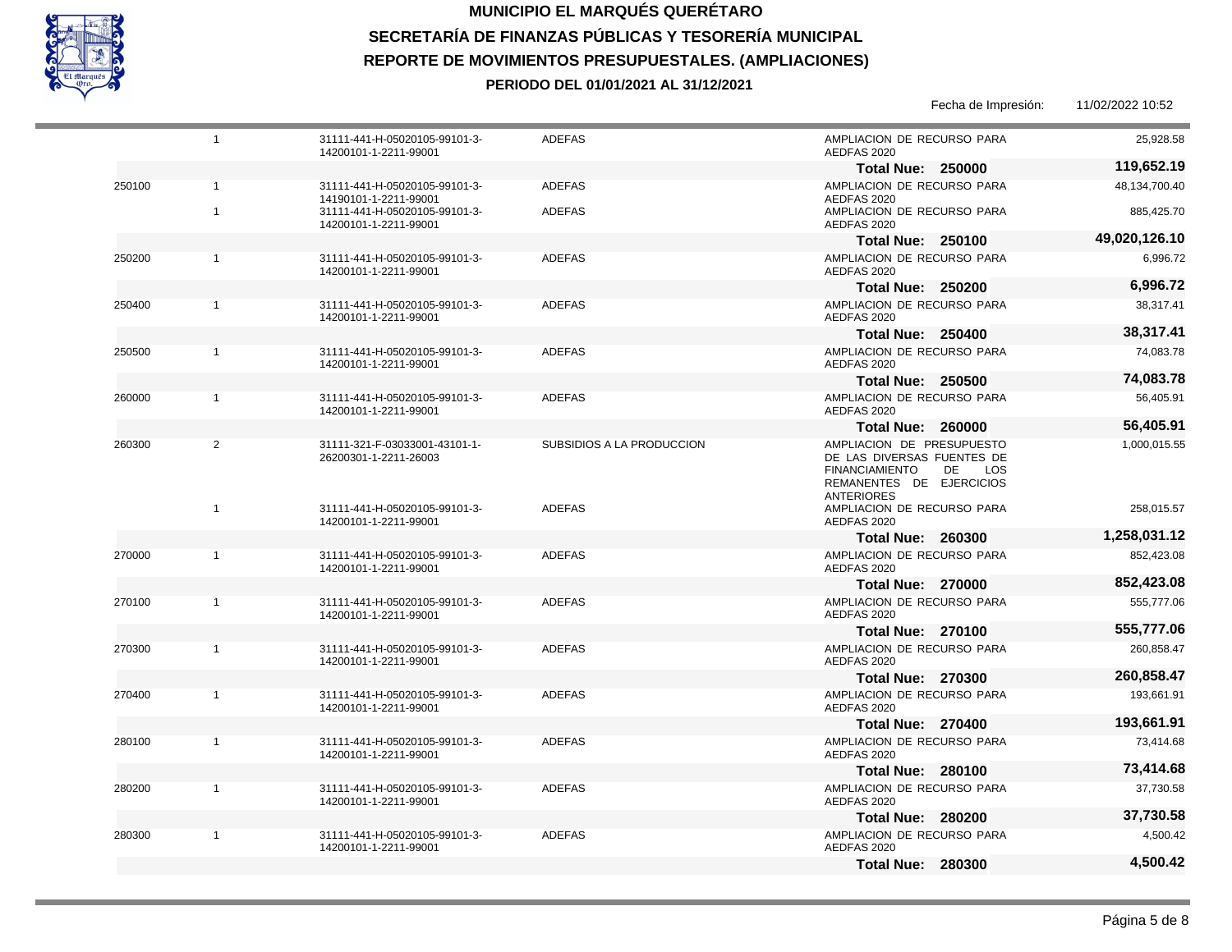

250100

1

1 1

1

1

1

1

 $\mathfrak{p}$ 

1

1

1

1

1

1

1

31111-441-H-05020105-99101-3- 14200101-1-2211-99001

ADEFAS

ADEFAS

31111-441-H-05020105-99101-3- 14200101-1-2211-99001

1

250200

250400

250500

260000

260300

270000

270100

270300

270400

280100

280200

280300

#### **MUNICIPIO EL MARQUÉS QUERÉTARO SECRETARÍA DE FINANZAS PÚBLICAS Y TESORERÍA MUNICIPAL REPORTE DE MOVIMIENTOS PRESUPUESTALES. (AMPLIACIONES) PERIODO DEL 01/01/2021 AL 31/12/2021**

Fecha de Impresión: 11/02/2022 10:52 31111-441-H-05020105-99101-3- 14200101-1-2211-99001 31111-441-H-05020105-99101-3- 14190101-1-2211-99001 31111-441-H-05020105-99101-3- 14200101-1-2211-99001 31111-441-H-05020105-99101-3- 14200101-1-2211-99001 31111-441-H-05020105-99101-3- 14200101-1-2211-99001 31111-441-H-05020105-99101-3- 14200101-1-2211-99001 31111-441-H-05020105-99101-3- 14200101-1-2211-99001 31111-321-F-03033001-43101-1- 26200301-1-2211-26003 31111-441-H-05020105-99101-3- 14200101-1-2211-99001 31111-441-H-05020105-99101-3- 14200101-1-2211-99001 31111-441-H-05020105-99101-3- 14200101-1-2211-99001 31111-441-H-05020105-99101-3- 14200101-1-2211-99001 31111-441-H-05020105-99101-3- 14200101-1-2211-99001 31111-441-H-05020105-99101-3- 14200101-1-2211-99001 ADEFAS ADEFAS ADEFAS ADEFAS ADEFAS ADEFAS ADEFAS SUBSIDIOS A LA PRODUCCION ADEFAS ADEFAS ADEFAS ADEFAS ADEFAS ADEFAS AMPLIACION DE RECURSO PARA AEDFAS 2020 AMPLIACION DE RECURSO PARA AEDFAS 2020 AMPLIACION DE RECURSO PARA AEDFAS 2020 AMPLIACION DE RECURSO PARA AEDFAS 2020 AMPLIACION DE RECURSO PARA AEDFAS 2020 AMPLIACION DE RECURSO PARA AEDFAS 2020 AMPLIACION DE RECURSO PARA AEDFAS 2020 AMPLIACION DE PRESUPUESTO DE LAS DIVERSAS FUENTES DE FINANCIAMIENTO DE LOS REMANENTES DE EJERCICIOS ANTERIORES AMPLIACION DE RECURSO PARA AEDFAS 2020 AMPLIACION DE RECURSO PARA AEDFAS 2020 AMPLIACION DE RECURSO PARA AEDFAS 2020 AMPLIACION DE RECURSO PARA AEDFAS 2020 AMPLIACION DE RECURSO PARA AEDFAS 2020 AMPLIACION DE RECURSO PARA AEDFAS 2020 25,928.58 48,134,700.40 885,425.70 6,996.72 38,317.41 74,083.78 56,405.91 1,000,015.55 258,015.57 852,423.08 555,777.06 260,858.47 193,661.91 73,414.68 **Total Nue: 250000 Total Nue: 250100 Total Nue: 250200 Total Nue: 250400 Total Nue: 250500 Total Nue: 260000 Total Nue: 260300 Total Nue: 270000 Total Nue: 270100 Total Nue: 270300 Total Nue: 270400 Total Nue: 280100 119,652.19 49,020,126.10 6,996.72 38,317.41 74,083.78 56,405.91 1,258,031.12 852,423.08 555,777.06 260,858.47 193,661.91 73,414.68**

AMPLIACION DE RECURSO PARA

AMPLIACION DE RECURSO PARA

**Total Nue: 280200**

**Total Nue: 280300**

AEDFAS 2020

AEDFAS 2020

37,730.58

**37,730.58**

4,500.42

**4,500.42**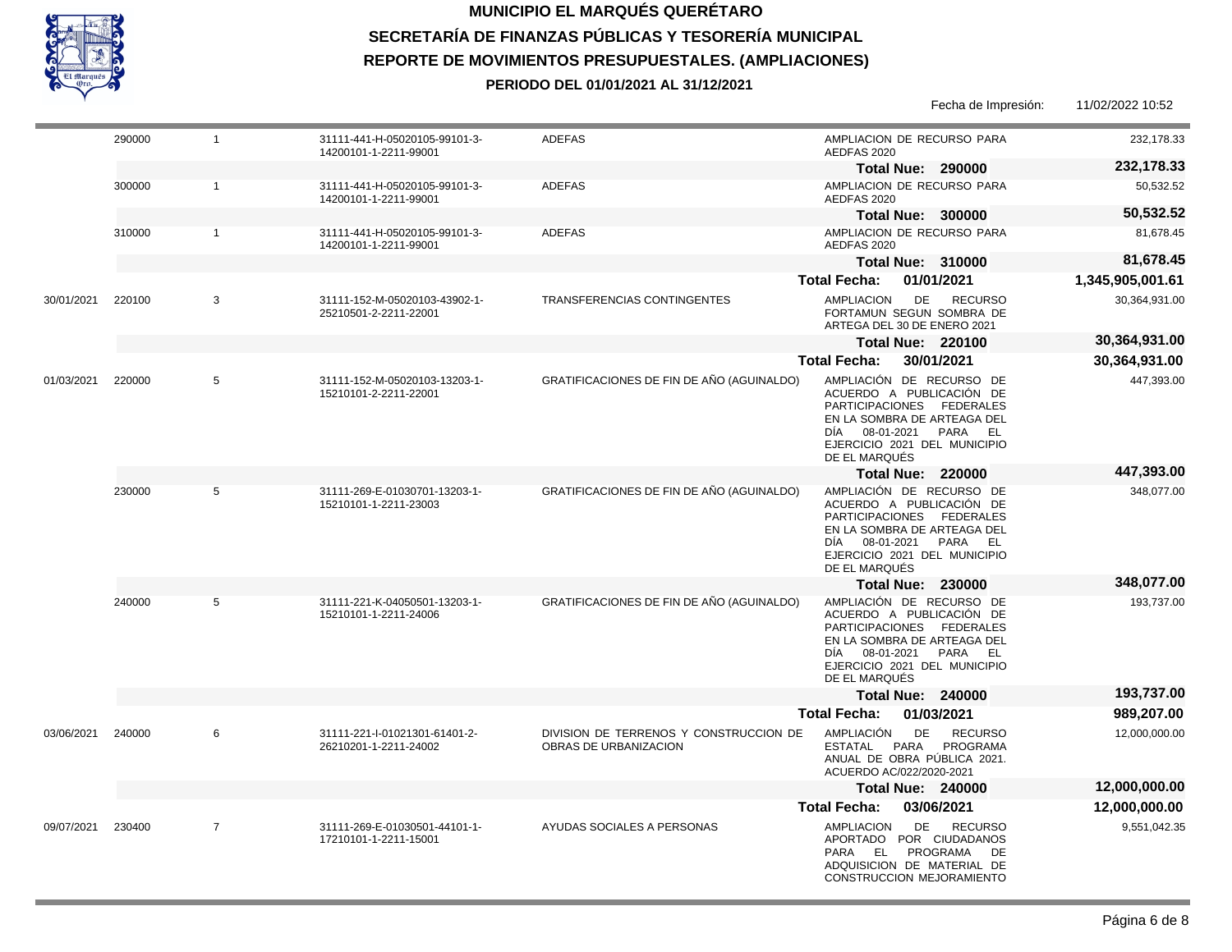

| 232,178.33       | AMPLIACION DE RECURSO PARA<br>AEDFAS 2020                                                                                                                                                         | <b>ADEFAS</b>                                                   | 31111-441-H-05020105-99101-3-<br>14200101-1-2211-99001 | $\mathbf{1}$   | 290000 |            |
|------------------|---------------------------------------------------------------------------------------------------------------------------------------------------------------------------------------------------|-----------------------------------------------------------------|--------------------------------------------------------|----------------|--------|------------|
| 232,178.33       | <b>Total Nue: 290000</b>                                                                                                                                                                          |                                                                 |                                                        |                |        |            |
| 50,532.52        | AMPLIACION DE RECURSO PARA<br>AEDFAS 2020                                                                                                                                                         | <b>ADEFAS</b>                                                   | 31111-441-H-05020105-99101-3-<br>14200101-1-2211-99001 | $\mathbf{1}$   | 300000 |            |
| 50,532.52        | <b>Total Nue: 300000</b>                                                                                                                                                                          |                                                                 |                                                        |                |        |            |
| 81,678.45        | AMPLIACION DE RECURSO PARA<br>AEDFAS 2020                                                                                                                                                         | <b>ADEFAS</b>                                                   | 31111-441-H-05020105-99101-3-<br>14200101-1-2211-99001 | $\mathbf{1}$   | 310000 |            |
| 81,678.45        | <b>Total Nue: 310000</b>                                                                                                                                                                          |                                                                 |                                                        |                |        |            |
| 1,345,905,001.61 | 01/01/2021<br><b>Total Fecha:</b>                                                                                                                                                                 |                                                                 |                                                        |                |        |            |
| 30,364,931.00    | <b>AMPLIACION</b><br><b>DE</b><br><b>RECURSO</b><br>FORTAMUN SEGUN SOMBRA DE<br>ARTEGA DEL 30 DE ENERO 2021                                                                                       | <b>TRANSFERENCIAS CONTINGENTES</b>                              | 31111-152-M-05020103-43902-1-<br>25210501-2-2211-22001 | 3              | 220100 | 30/01/2021 |
| 30,364,931.00    | <b>Total Nue: 220100</b>                                                                                                                                                                          |                                                                 |                                                        |                |        |            |
| 30,364,931.00    | <b>Total Fecha:</b><br>30/01/2021                                                                                                                                                                 |                                                                 |                                                        |                |        |            |
| 447,393.00       | AMPLIACIÓN DE RECURSO DE<br>ACUERDO A PUBLICACIÓN DE<br>PARTICIPACIONES FEDERALES<br>EN LA SOMBRA DE ARTEAGA DEL<br>08-01-2021 PARA EL<br>DÍA<br>EJERCICIO 2021 DEL MUNICIPIO<br>DE EL MARQUÉS    | GRATIFICACIONES DE FIN DE AÑO (AGUINALDO)                       | 31111-152-M-05020103-13203-1-<br>15210101-2-2211-22001 | 5              | 220000 | 01/03/2021 |
| 447,393.00       | <b>Total Nue: 220000</b>                                                                                                                                                                          |                                                                 |                                                        |                |        |            |
| 348,077.00       | AMPLIACIÓN DE RECURSO DE<br>ACUERDO A PUBLICACIÓN DE<br>PARTICIPACIONES FEDERALES<br>EN LA SOMBRA DE ARTEAGA DEL<br>DÍA 08-01-2021 PARA EL<br>EJERCICIO 2021 DEL MUNICIPIO<br>DE EL MARQUÉS       | GRATIFICACIONES DE FIN DE AÑO (AGUINALDO)                       | 31111-269-E-01030701-13203-1-<br>15210101-1-2211-23003 | 5              | 230000 |            |
| 348,077.00       | <b>Total Nue: 230000</b>                                                                                                                                                                          |                                                                 |                                                        |                |        |            |
| 193,737.00       | AMPLIACIÓN DE RECURSO DE<br>ACUERDO A PUBLICACIÓN DE<br>PARTICIPACIONES FEDERALES<br>EN LA SOMBRA DE ARTEAGA DEL<br>08-01-2021<br>PARA EL<br>DIA<br>EJERCICIO 2021 DEL MUNICIPIO<br>DE EL MARQUÉS | GRATIFICACIONES DE FIN DE AÑO (AGUINALDO)                       | 31111-221-K-04050501-13203-1-<br>15210101-1-2211-24006 | 5              | 240000 |            |
| 193,737.00       | <b>Total Nue: 240000</b>                                                                                                                                                                          |                                                                 |                                                        |                |        |            |
| 989,207.00       | 01/03/2021<br><b>Total Fecha:</b>                                                                                                                                                                 |                                                                 |                                                        |                |        |            |
| 12,000,000.00    | <b>AMPLIACIÓN</b><br>DE<br><b>RECURSO</b><br>ESTATAL<br>PARA<br>PROGRAMA<br>ANUAL DE OBRA PÚBLICA 2021.<br>ACUERDO AC/022/2020-2021                                                               | DIVISION DE TERRENOS Y CONSTRUCCION DE<br>OBRAS DE URBANIZACION | 31111-221-I-01021301-61401-2-<br>26210201-1-2211-24002 | 6              | 240000 | 03/06/2021 |
| 12,000,000.00    | <b>Total Nue: 240000</b>                                                                                                                                                                          |                                                                 |                                                        |                |        |            |
| 12,000,000.00    | <b>Total Fecha:</b><br>03/06/2021                                                                                                                                                                 |                                                                 |                                                        |                |        |            |
| 9,551,042.35     | <b>DE</b><br><b>RECURSO</b><br><b>AMPLIACION</b><br>APORTADO POR CIUDADANOS<br>EL PROGRAMA<br>PARA<br>DE<br>ADQUISICION DE MATERIAL DE                                                            | AYUDAS SOCIALES A PERSONAS                                      | 31111-269-E-01030501-44101-1-<br>17210101-1-2211-15001 | $\overline{7}$ | 230400 | 09/07/2021 |

CONSTRUCCION MEJORAMIENTO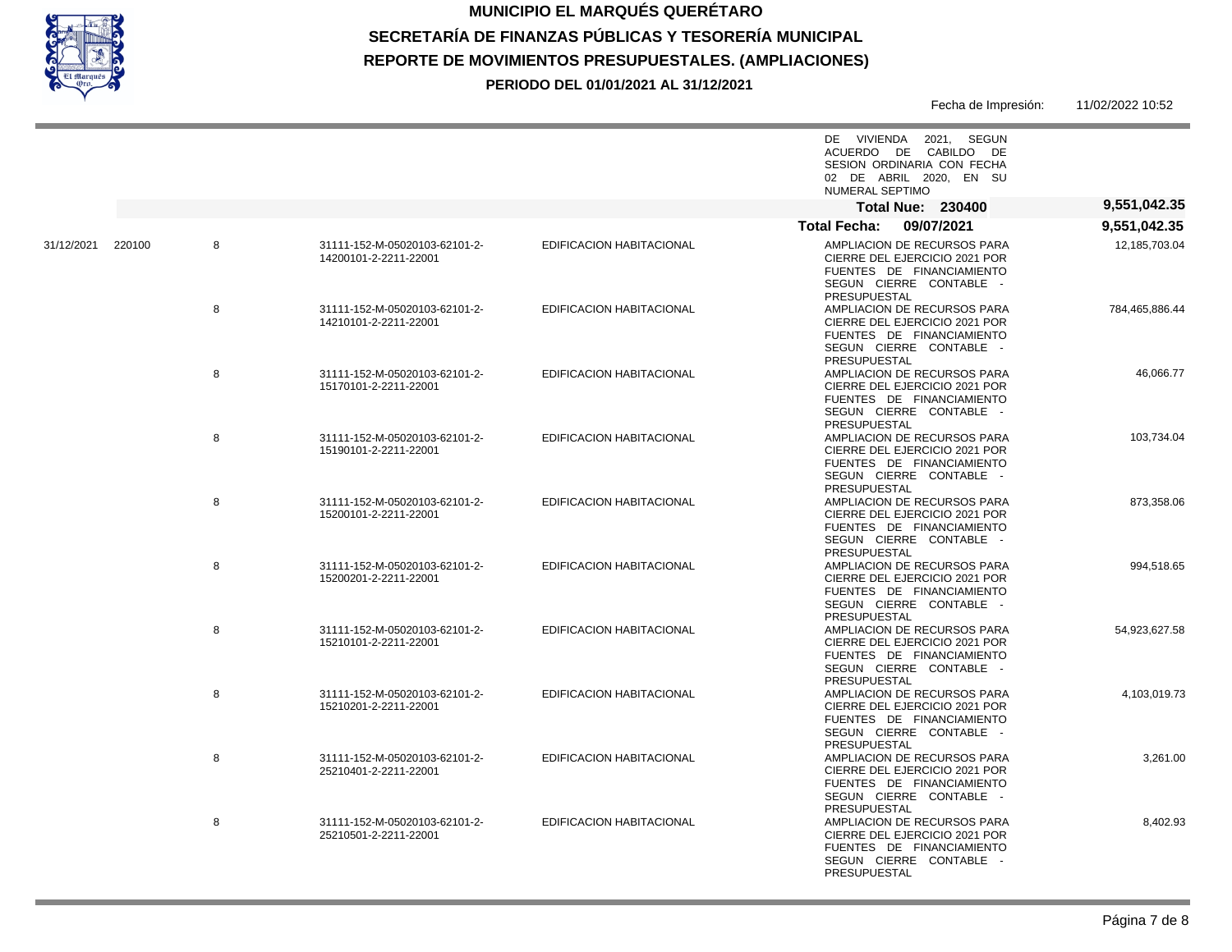

|                | DE VIVIENDA 2021, SEGUN<br>ACUERDO DE CABILDO DE<br>SESION ORDINARIA CON FECHA<br>02 DE ABRIL 2020. EN SU<br>NUMERAL SEPTIMO         |                                 |                                                        |             |            |
|----------------|--------------------------------------------------------------------------------------------------------------------------------------|---------------------------------|--------------------------------------------------------|-------------|------------|
| 9,551,042.35   | <b>Total Nue: 230400</b>                                                                                                             |                                 |                                                        |             |            |
| 9,551,042.35   | <b>Total Fecha:</b><br>09/07/2021                                                                                                    |                                 |                                                        |             |            |
| 12,185,703.04  | AMPLIACION DE RECURSOS PARA<br>CIERRE DEL EJERCICIO 2021 POR<br>FUENTES DE FINANCIAMIENTO<br>SEGUN CIERRE CONTABLE -<br>PRESUPUESTAL | EDIFICACION HABITACIONAL        | 31111-152-M-05020103-62101-2-<br>14200101-2-2211-22001 | 220100<br>8 | 31/12/2021 |
| 784,465,886.44 | AMPLIACION DE RECURSOS PARA<br>CIERRE DEL EJERCICIO 2021 POR<br>FUENTES DE FINANCIAMIENTO<br>SEGUN CIERRE CONTABLE -<br>PRESUPUESTAL | EDIFICACION HABITACIONAL        | 31111-152-M-05020103-62101-2-<br>14210101-2-2211-22001 | 8           |            |
| 46,066.77      | AMPLIACION DE RECURSOS PARA<br>CIERRE DEL EJERCICIO 2021 POR<br>FUENTES DE FINANCIAMIENTO<br>SEGUN CIERRE CONTABLE -<br>PRESUPUESTAL | EDIFICACION HABITACIONAL        | 31111-152-M-05020103-62101-2-<br>15170101-2-2211-22001 | 8           |            |
| 103,734.04     | AMPLIACION DE RECURSOS PARA<br>CIERRE DEL EJERCICIO 2021 POR<br>FUENTES DE FINANCIAMIENTO<br>SEGUN CIERRE CONTABLE -<br>PRESUPUESTAL | EDIFICACION HABITACIONAL        | 31111-152-M-05020103-62101-2-<br>15190101-2-2211-22001 | 8           |            |
| 873,358.06     | AMPLIACION DE RECURSOS PARA<br>CIERRE DEL EJERCICIO 2021 POR<br>FUENTES DE FINANCIAMIENTO<br>SEGUN CIERRE CONTABLE -<br>PRESUPUESTAL | <b>EDIFICACION HABITACIONAL</b> | 31111-152-M-05020103-62101-2-<br>15200101-2-2211-22001 | 8           |            |
| 994,518.65     | AMPLIACION DE RECURSOS PARA<br>CIERRE DEL EJERCICIO 2021 POR<br>FUENTES DE FINANCIAMIENTO<br>SEGUN CIERRE CONTABLE -<br>PRESUPUESTAL | <b>EDIFICACION HABITACIONAL</b> | 31111-152-M-05020103-62101-2-<br>15200201-2-2211-22001 | 8           |            |
| 54,923,627.58  | AMPLIACION DE RECURSOS PARA<br>CIERRE DEL EJERCICIO 2021 POR<br>FUENTES DE FINANCIAMIENTO<br>SEGUN CIERRE CONTABLE -<br>PRESUPUESTAL | <b>EDIFICACION HABITACIONAL</b> | 31111-152-M-05020103-62101-2-<br>15210101-2-2211-22001 | 8           |            |
| 4,103,019.73   | AMPLIACION DE RECURSOS PARA<br>CIERRE DEL EJERCICIO 2021 POR<br>FUENTES DE FINANCIAMIENTO<br>SEGUN CIERRE CONTABLE -<br>PRESUPUESTAL | <b>EDIFICACION HABITACIONAL</b> | 31111-152-M-05020103-62101-2-<br>15210201-2-2211-22001 | 8           |            |
| 3,261.00       | AMPLIACION DE RECURSOS PARA<br>CIERRE DEL EJERCICIO 2021 POR<br>FUENTES DE FINANCIAMIENTO<br>SEGUN CIERRE CONTABLE -<br>PRESUPUESTAL | EDIFICACION HABITACIONAL        | 31111-152-M-05020103-62101-2-<br>25210401-2-2211-22001 | 8           |            |
| 8,402.93       | AMPLIACION DE RECURSOS PARA<br>CIERRE DEL EJERCICIO 2021 POR<br>FUENTES DE FINANCIAMIENTO<br>SEGUN CIERRE CONTABLE -<br>PRESUPUESTAL | EDIFICACION HABITACIONAL        | 31111-152-M-05020103-62101-2-<br>25210501-2-2211-22001 | 8           |            |